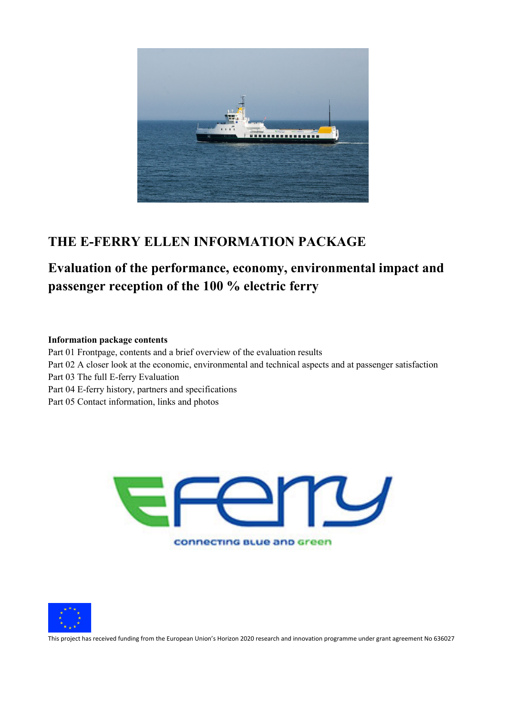

## **THE E-FERRY ELLEN INFORMATION PACKAGE**

# **Evaluation of the performance, economy, environmental impact and passenger reception of the 100 % electric ferry**

#### **Information package contents**

Part 01 Frontpage, contents and a brief overview of the evaluation results Part 02 A closer look at the economic, environmental and technical aspects and at passenger satisfaction Part 03 The full E-ferry Evaluation Part 04 E-ferry history, partners and specifications Part 05 Contact information, links and photos





This project has received funding from the European Union's Horizon 2020 research and innovation programme under grant agreement No 636027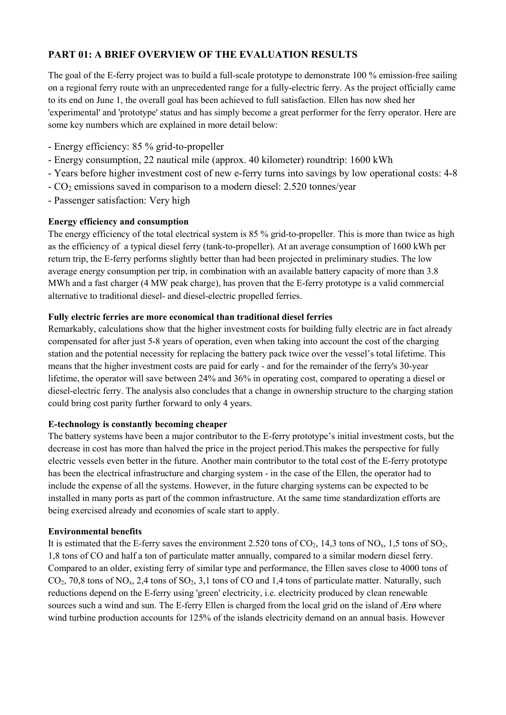### **PART 01: A BRIEF OVERVIEW OF THE EVALUATION RESULTS**

The goal of the E-ferry project was to build a full-scale prototype to demonstrate 100 % emission-free sailing on a regional ferry route with an unprecedented range for a fully-electric ferry. As the project officially came to its end on June 1, the overall goal has been achieved to full satisfaction. Ellen has now shed her 'experimental' and 'prototype' status and has simply become a great performer for the ferry operator. Here are some key numbers which are explained in more detail below:

- Energy efficiency: 85 % grid-to-propeller
- Energy consumption, 22 nautical mile (approx. 40 kilometer) roundtrip: 1600 kWh
- Years before higher investment cost of new e-ferry turns into savings by low operational costs: 4-8
- CO2 emissions saved in comparison to a modern diesel: 2.520 tonnes/year
- Passenger satisfaction: Very high

#### **Energy efficiency and consumption**

The energy efficiency of the total electrical system is 85 % grid-to-propeller. This is more than twice as high as the efficiency of a typical diesel ferry (tank-to-propeller). At an average consumption of 1600 kWh per return trip, the E-ferry performs slightly better than had been projected in preliminary studies. The low average energy consumption per trip, in combination with an available battery capacity of more than 3.8 MWh and a fast charger (4 MW peak charge), has proven that the E-ferry prototype is a valid commercial alternative to traditional diesel- and diesel-electric propelled ferries.

#### **Fully electric ferries are more economical than traditional diesel ferries**

Remarkably, calculations show that the higher investment costs for building fully electric are in fact already compensated for after just 5-8 years of operation, even when taking into account the cost of the charging station and the potential necessity for replacing the battery pack twice over the vessel's total lifetime. This means that the higher investment costs are paid for early - and for the remainder of the ferry's 30-year lifetime, the operator will save between 24% and 36% in operating cost, compared to operating a diesel or diesel-electric ferry. The analysis also concludes that a change in ownership structure to the charging station could bring cost parity further forward to only 4 years.

#### **E-technology is constantly becoming cheaper**

The battery systems have been a major contributor to the E-ferry prototype's initial investment costs, but the decrease in cost has more than halved the price in the project period.This makes the perspective for fully electric vessels even better in the future. Another main contributor to the total cost of the E-ferry prototype has been the electrical infrastructure and charging system - in the case of the Ellen, the operator had to include the expense of all the systems. However, in the future charging systems can be expected to be installed in many ports as part of the common infrastructure. At the same time standardization efforts are being exercised already and economies of scale start to apply.

#### **Environmental benefits**

It is estimated that the E-ferry saves the environment 2.520 tons of  $CO_2$ , 14,3 tons of  $NO_x$ , 1,5 tons of  $SO_2$ , 1,8 tons of CO and half a ton of particulate matter annually, compared to a similar modern diesel ferry. Compared to an older, existing ferry of similar type and performance, the Ellen saves close to 4000 tons of  $CO<sub>2</sub>$ , 70,8 tons of NO<sub>x</sub>, 2,4 tons of SO<sub>2</sub>, 3,1 tons of CO and 1,4 tons of particulate matter. Naturally, such reductions depend on the E-ferry using 'green' electricity, i.e. electricity produced by clean renewable sources such a wind and sun. The E-ferry Ellen is charged from the local grid on the island of Ærø where wind turbine production accounts for 125% of the islands electricity demand on an annual basis. However